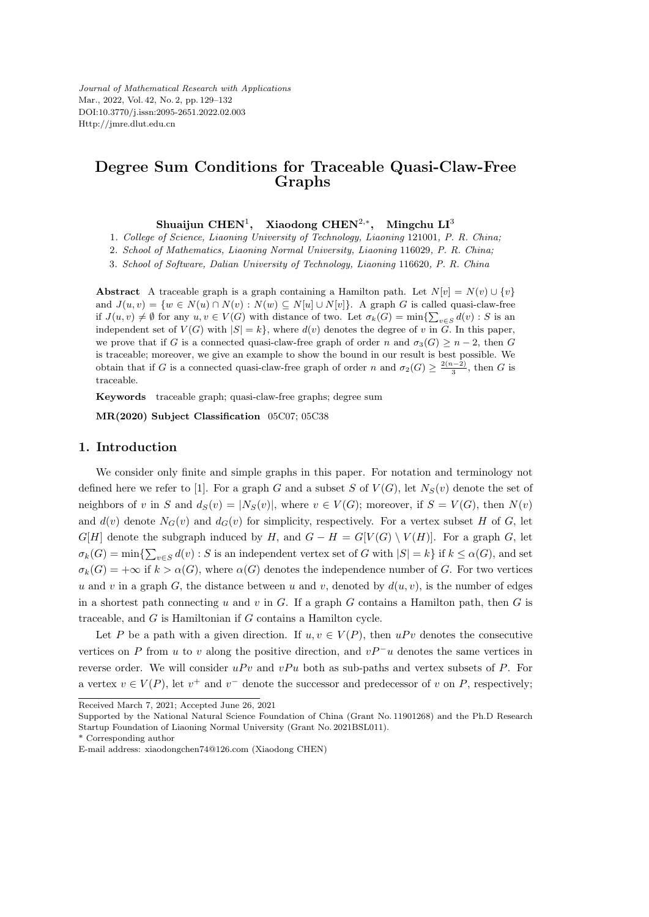*Journal of Mathematical Research with Applications* Mar., 2022, Vol. 42, No. 2, pp. 129–132 DOI:10.3770/j.issn:2095-2651.2022.02.003 Http://jmre.dlut.edu.cn

## **Degree Sum Conditions for Traceable Quasi-Claw-Free Graphs**

**Shuaijun CHEN**<sup>1</sup> **, Xiaodong CHEN**<sup>2</sup>*,<sup>∗</sup>* **, Mingchu LI**<sup>3</sup>

1*. College of Science, Liaoning University of Technology, Liaoning* 121001*, P. R. China;*

2*. School of Mathematics, Liaoning Normal University, Liaoning* 116029*, P. R. China;*

3*. School of Software, Dalian University of Technology, Liaoning* 116620*, P. R. China*

**Abstract** A traceable graph is a graph containing a Hamilton path. Let  $N[v] = N(v) \cup \{v\}$ and  $J(u, v) = \{w \in N(u) \cap N(v) : N(w) \subseteq N[u] \cup N[v]\}.$  A graph G is called quasi-claw-free if  $J(u, v) \neq \emptyset$  for any  $u, v \in V(G)$  with distance of two. Let  $\sigma_k(G) = \min\{\sum_{v \in S} d(v) : S \text{ is an }$ independent set of  $V(G)$  with  $|S| = k$ , where  $d(v)$  denotes the degree of v in  $\tilde{G}$ . In this paper, we prove that if *G* is a connected quasi-claw-free graph of order *n* and  $\sigma_3(G) \geq n-2$ , then *G* is traceable; moreover, we give an example to show the bound in our result is best possible. We obtain that if *G* is a connected quasi-claw-free graph of order *n* and  $\sigma_2(G) \geq \frac{2(n-2)}{3}$ , then *G* is traceable.

**Keywords** traceable graph; quasi-claw-free graphs; degree sum

**MR(2020) Subject Classification** 05C07; 05C38

## **1. Introduction**

We consider only finite and simple graphs in this paper. For notation and terminology not defined here we refer to [1]. For a graph *G* and a subset *S* of  $V(G)$ , let  $N_S(v)$  denote the set of neighbors of v in S and  $d_S(v) = |N_S(v)|$ , where  $v \in V(G)$ ; moreover, if  $S = V(G)$ , then  $N(v)$ and  $d(v)$  denote  $N_G(v)$  and  $d_G(v)$  for simplicity, respectively. For a vertex subset *H* of *G*, let *G*[*H*] denote the subgraph induced by *H*, and  $G - H = G[V(G) \setminus V(H)]$ . For a graph *G*, let  $\sigma_k(G) = \min\{\sum_{v \in S} d(v) : S \text{ is an independent vertex set of } G \text{ with } |S| = k\} \text{ if } k \leq \alpha(G)$ , and set  $\sigma_k(G) = +\infty$  if  $k > \alpha(G)$ , where  $\alpha(G)$  denotes the independence number of *G*. For two vertices *u* and *v* in a graph *G*, the distance between *u* and *v*, denoted by  $d(u, v)$ , is the number of edges in a shortest path connecting *u* and *v* in *G*. If a graph *G* contains a Hamilton path, then *G* is traceable, and *G* is Hamiltonian if *G* contains a Hamilton cycle.

Let *P* be a path with a given direction. If  $u, v \in V(P)$ , then  $uPv$  denotes the consecutive vertices on *P* from *u* to *v* along the positive direction, and  $vP^-u$  denotes the same vertices in reverse order. We will consider  $uPv$  and  $vPu$  both as sub-paths and vertex subsets of  $P$ . For a vertex  $v \in V(P)$ , let  $v^+$  and  $v^-$  denote the successor and predecessor of *v* on *P*, respectively;

Received March 7, 2021; Accepted June 26, 2021

Supported by the National Natural Science Foundation of China (Grant No. 11901268) and the Ph.D Research Startup Foundation of Liaoning Normal University (Grant No. 2021BSL011).

<sup>\*</sup> Corresponding author

E-mail address: xiaodongchen74@126.com (Xiaodong CHEN)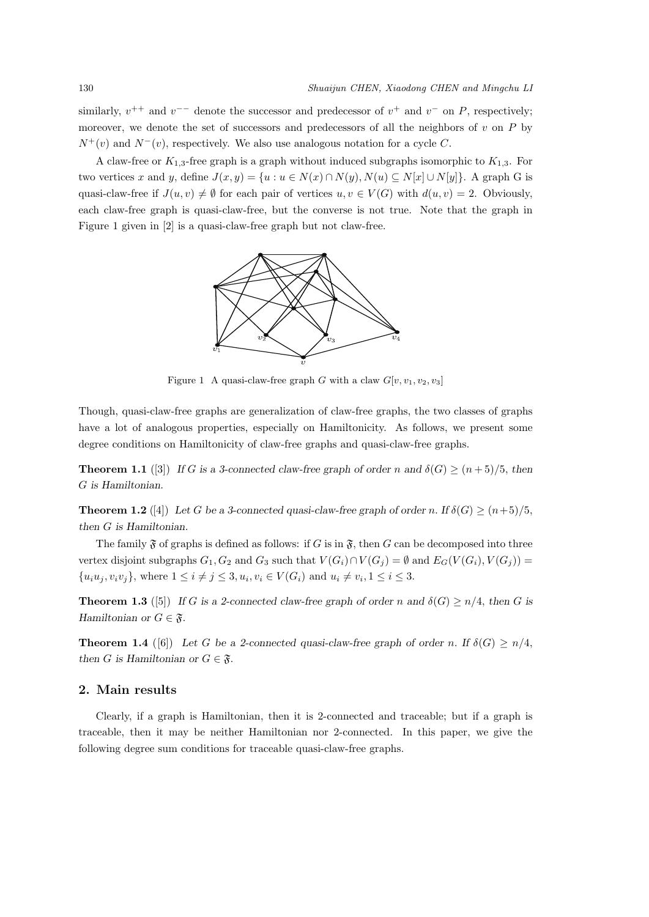similarly,  $v^{++}$  and  $v^{--}$  denote the successor and predecessor of  $v^+$  and  $v^-$  on *P*, respectively; moreover, we denote the set of successors and predecessors of all the neighbors of *v* on *P* by  $N^+(v)$  and  $N^-(v)$ , respectively. We also use analogous notation for a cycle *C*.

A claw-free or  $K_{1,3}$ -free graph is a graph without induced subgraphs isomorphic to  $K_{1,3}$ . For two vertices x and y, define  $J(x, y) = \{u : u \in N(x) \cap N(y), N(u) \subseteq N[x] \cup N[y]\}.$  A graph G is quasi-claw-free if  $J(u, v) \neq \emptyset$  for each pair of vertices  $u, v \in V(G)$  with  $d(u, v) = 2$ . Obviously, each claw-free graph is quasi-claw-free, but the converse is not true. Note that the graph in Figure 1 given in [2] is a quasi-claw-free graph but not claw-free.



Figure 1 A quasi-claw-free graph *G* with a claw  $G[v, v_1, v_2, v_3]$ 

Though, quasi-claw-free graphs are generalization of claw-free graphs, the two classes of graphs have a lot of analogous properties, especially on Hamiltonicity. As follows, we present some degree conditions on Hamiltonicity of claw-free graphs and quasi-claw-free graphs.

**Theorem 1.1** ([3]) *If G* is a 3-connected claw-free graph of order *n* and  $\delta(G) \geq (n+5)/5$ , then *G is Hamiltonian.*

**Theorem 1.2** ([4]) Let *G* be a 3-connected quasi-claw-free graph of order *n*. If  $\delta(G) \geq (n+5)/5$ , *then G is Hamiltonian.*

The family  $\mathfrak F$  of graphs is defined as follows: if *G* is in  $\mathfrak F$ , then *G* can be decomposed into three vertex disjoint subgraphs  $G_1, G_2$  and  $G_3$  such that  $V(G_i) \cap V(G_j) = \emptyset$  and  $E_G(V(G_i), V(G_j)) =$  $\{u_iu_j, v_iv_j\}$ , where  $1 \leq i \neq j \leq 3, u_i, v_i \in V(G_i)$  and  $u_i \neq v_i, 1 \leq i \leq 3$ .

**Theorem 1.3** ([5]) *If G* is a 2-connected claw-free graph of order *n* and  $\delta(G) \ge n/4$ , then *G* is *Hamiltonian or*  $G \in \mathfrak{F}$ *.* 

**Theorem 1.4** ([6]) Let *G* be a 2-connected quasi-claw-free graph of order *n*. If  $\delta(G) \ge n/4$ , *then G* is Hamiltonian or  $G \in \mathfrak{F}$ .

## **2. Main results**

Clearly, if a graph is Hamiltonian, then it is 2-connected and traceable; but if a graph is traceable, then it may be neither Hamiltonian nor 2-connected. In this paper, we give the following degree sum conditions for traceable quasi-claw-free graphs.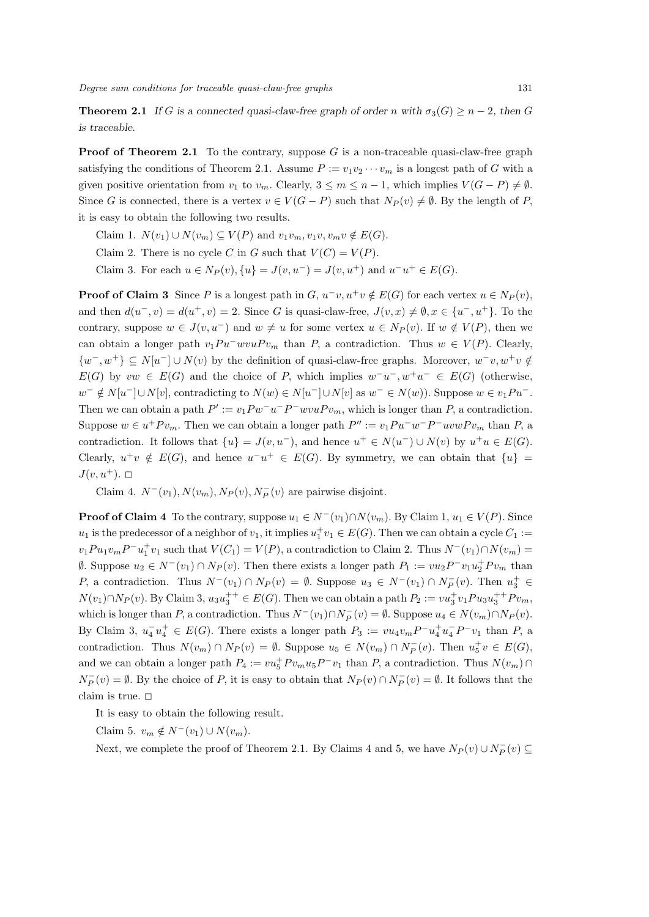**Theorem 2.1** If *G* is a connected quasi-claw-free graph of order *n* with  $\sigma_3(G) \geq n-2$ , then *G is traceable.*

**Proof of Theorem 2.1** To the contrary, suppose G is a non-traceable quasi-claw-free graph satisfying the conditions of Theorem 2.1. Assume  $P := v_1v_2\cdots v_m$  is a longest path of *G* with a given positive orientation from  $v_1$  to  $v_m$ . Clearly,  $3 \leq m \leq n-1$ , which implies  $V(G - P) \neq \emptyset$ . Since *G* is connected, there is a vertex  $v \in V(G - P)$  such that  $N_P(v) \neq \emptyset$ . By the length of *P*, it is easy to obtain the following two results.

 $\text{Claim 1. } N(v_1) \cup N(v_m) \subseteq V(P) \text{ and } v_1v_m, v_1v, v_mv \notin E(G).$ 

Claim 2. There is no cycle *C* in *G* such that  $V(C) = V(P)$ .

Claim 3. For each  $u \in N_P(v)$ ,  $\{u\} = J(v, u^-) = J(v, u^+)$  and  $u^-u^+ \in E(G)$ .

**Proof of Claim 3** Since *P* is a longest path in *G*,  $u^-v, u^+v \notin E(G)$  for each vertex  $u \in N_P(v)$ , and then  $d(u^-,v) = d(u^+,v) = 2$ . Since G is quasi-claw-free,  $J(v,x) \neq \emptyset$ ,  $x \in \{u^-,u^+\}$ . To the contrary, suppose  $w \in J(v, u^{-})$  and  $w \neq u$  for some vertex  $u \in N_P(v)$ . If  $w \notin V(P)$ , then we can obtain a longer path  $v_1 P u^- w v u P v_m$  than *P*, a contradiction. Thus  $w \in V(P)$ . Clearly,  $\{w^-, w^+\}\subseteq N[u^-] \cup N(v)$  by the definition of quasi-claw-free graphs. Moreover,  $w^-v, w^+v \notin N(v)$ *E*(*G*) by  $vw \in E(G)$  and the choice of *P*, which implies  $w^-u^-, w^+u^- \in E(G)$  (otherwise,  $w^- \notin N[u^-] \cup N[v]$ , contradicting to  $N(w) \in N[u^-] \cup N[v]$  as  $w^- \in N(w)$ ). Suppose  $w \in v_1Pu^-$ . Then we can obtain a path  $P' := v_1 P w^- u^- P^- w v u P v_m$ , which is longer than *P*, a contradiction. Suppose  $w \in u^+P v_m$ . Then we can obtain a longer path  $P'' := v_1 P u^- w^- P^- u v w P v_m$  than P, a contradiction. It follows that  $\{u\} = J(v, u^{-})$ , and hence  $u^{+} \in N(u^{-}) \cup N(v)$  by  $u^{+}u \in E(G)$ . Clearly,  $u^+v \notin E(G)$ , and hence  $u^-u^+ \in E(G)$ . By symmetry, we can obtain that  $\{u\}$  $J(v, u^+)$ .  $\Box$ 

Claim 4.  $N^-(v_1)$ ,  $N(v_m)$ ,  $N_P(v)$ ,  $N_P^-(v)$  are pairwise disjoint.

**Proof of Claim 4** To the contrary, suppose  $u_1 \in N^-(v_1) \cap N(v_m)$ . By Claim 1,  $u_1 \in V(P)$ . Since  $u_1$  is the predecessor of a neighbor of  $v_1$ , it implies  $u_1^+v_1 \in E(G)$ . Then we can obtain a cycle  $C_1 :=$  $v_1Pu_1v_mP^-u_1^+v_1$  such that  $V(C_1) = V(P)$ , a contradiction to Claim 2. Thus  $N^-(v_1) \cap N(v_m) =$  $\emptyset$ . Suppose  $u_2 \in N^-(v_1) \cap N_P(v)$ . Then there exists a longer path  $P_1 := vu_2P^-v_1u_2^+Pv_m$  than P, a contradiction. Thus  $N^-(v_1) \cap N_P(v) = \emptyset$ . Suppose  $u_3 \in N^-(v_1) \cap N_P^-(v)$ . Then  $u_3^+ \in$  $N(v_1) \cap N_P(v)$ . By Claim 3,  $u_3 u_3^{++} \in E(G)$ . Then we can obtain a path  $P_2 := vu_3^+ v_1 P u_3 u_3^{++} P v_m$ , which is longer than P, a contradiction. Thus  $N^-(v_1) \cap N_P^-(v) = \emptyset$ . Suppose  $u_4 \in N(v_m) \cap N_P(v)$ . By Claim 3,  $u_4^- u_4^+ \in E(G)$ . There exists a longer path  $P_3 := vu_4v_m P^- u_4^+ u_4^- P^- v_1$  than P, a contradiction. Thus  $N(v_m) \cap N_P(v) = \emptyset$ . Suppose  $u_5 \in N(v_m) \cap N_P^-(v)$ . Then  $u_5^+ v \in E(G)$ , and we can obtain a longer path  $P_4 := vu_5^+ P v_m u_5 P^- v_1$  than  $P$ , a contradiction. Thus  $N(v_m) \cap P$  $N_P^-(v) = \emptyset$ . By the choice of *P*, it is easy to obtain that  $N_P(v) \cap N_P^-(v) = \emptyset$ . It follows that the claim is true.  $\Box$ 

It is easy to obtain the following result.

Claim 5.  $v_m \notin N^-(v_1) \cup N(v_m)$ .

Next, we complete the proof of Theorem 2.1. By Claims 4 and 5, we have  $N_P(v) \cup N_P^-(v) \subseteq$